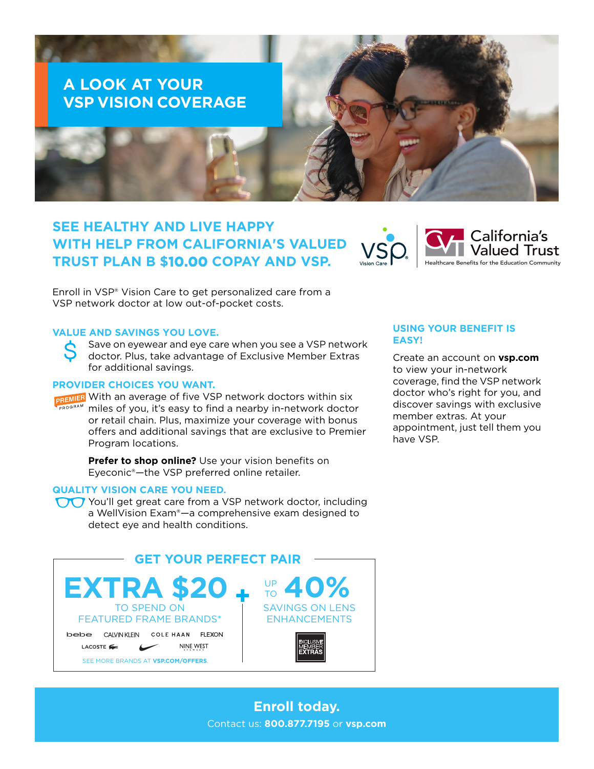# **A LOOK AT YOUR VSP VISION COVERAGE**

## **SEE HEALTHY AND LIVE HAPPY WITH HELP FROM CALIFORNIA'S VALUED TRUST PLAN B \$10.00 COPAY AND VSP.**



Enroll in VSP® Vision Care to get personalized care from a VSP network doctor at low out-of-pocket costs.

#### **VALUE AND SAVINGS YOU LOVE.**

Save on eyewear and eye care when you see a VSP network doctor. Plus, take advantage of Exclusive Member Extras for additional savings.

### **PROVIDER CHOICES YOU WANT.**

PREMIER With an average of five VSP network doctors within six miles of you, it's easy to find a nearby in-network doctor or retail chain. Plus, maximize your coverage with bonus offers and additional savings that are exclusive to Premier Program locations.

> **Prefer to shop online?** Use your vision benefits on Eyeconic®—the VSP preferred online retailer.

#### **QUALITY VISION CARE YOU NEED.**

You'll get great care from a VSP network doctor, including a WellVision Exam®—a comprehensive exam designed to detect eye and health conditions.



### **USING YOUR BENEFIT IS EASY!**

Create an account on **vsp.com** to view your in-network coverage, find the VSP network doctor who's right for you, and discover savings with exclusive member extras. At your appointment, just tell them you have VSP.

### **Enroll today.** Contact us: **800.877.7195** or **vsp.com**